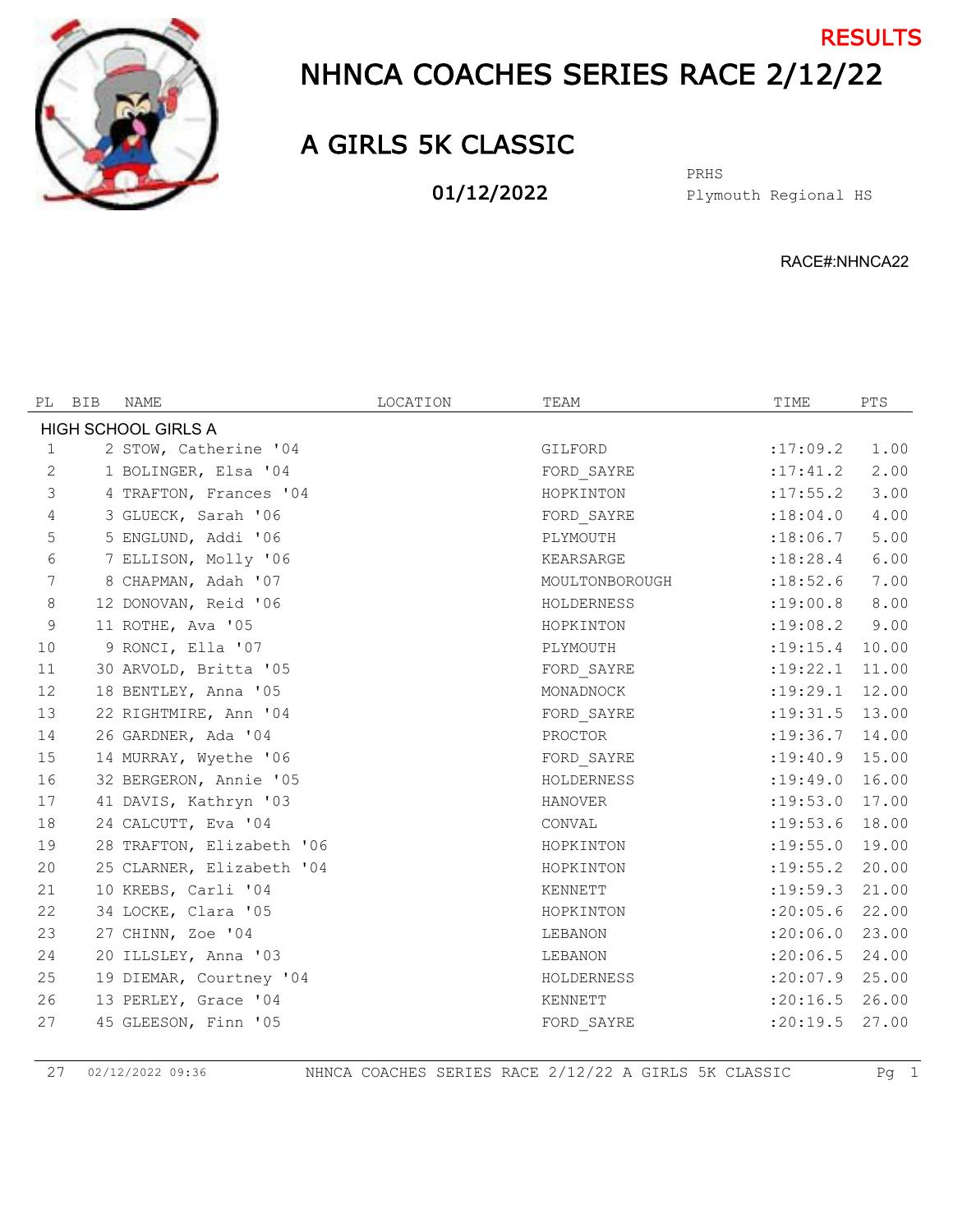

## NHNCA COACHES SERIES RACE 2/12/22 **RESULTS**

## A GIRLS 5K CLASSIC

01/12/2022

Plymouth Regional HS PRHS

RACE#:NHNCA22

| PL             | BIB | NAME                      | LOCATION | TEAM           | TIME               | PTS   |
|----------------|-----|---------------------------|----------|----------------|--------------------|-------|
|                |     | HIGH SCHOOL GIRLS A       |          |                |                    |       |
| 1              |     | 2 STOW, Catherine '04     |          | GILFORD        | :17:09.2           | 1.00  |
| 2              |     | 1 BOLINGER, Elsa '04      |          | FORD SAYRE     | :17:41.2           | 2.00  |
| $\mathfrak{Z}$ |     | 4 TRAFTON, Frances '04    |          | HOPKINTON      | : 17: 55.2         | 3.00  |
| 4              |     | 3 GLUECK, Sarah '06       |          | FORD SAYRE     | : 18:04.0          | 4.00  |
| 5              |     | 5 ENGLUND, Addi '06       |          | PLYMOUTH       | :18:06.7           | 5.00  |
| 6              |     | 7 ELLISON, Molly '06      |          | KEARSARGE      | :18:28.4           | 6.00  |
| 7              |     | 8 CHAPMAN, Adah '07       |          | MOULTONBOROUGH | :18:52.6           | 7.00  |
| $\,8\,$        |     | 12 DONOVAN, Reid '06      |          | HOLDERNESS     | : 19:00.8          | 8.00  |
| 9              |     | 11 ROTHE, Ava '05         |          | HOPKINTON      | :19:08.2           | 9.00  |
| 10             |     | 9 RONCI, Ella '07         |          | PLYMOUTH       | : 19: 15.4         | 10.00 |
| 11             |     | 30 ARVOLD, Britta '05     |          | FORD SAYRE     | :19:22.1           | 11.00 |
| 12             |     | 18 BENTLEY, Anna '05      |          | MONADNOCK      | $:19:29.1$ 12.00   |       |
| 13             |     | 22 RIGHTMIRE, Ann '04     |          | FORD SAYRE     | $:19:31.5$ 13.00   |       |
| 14             |     | 26 GARDNER, Ada '04       |          | PROCTOR        | $: 19:36.7$ 14.00  |       |
| 15             |     | 14 MURRAY, Wyethe '06     |          | FORD SAYRE     | $: 19: 40.9$ 15.00 |       |
| 16             |     | 32 BERGERON, Annie '05    |          | HOLDERNESS     | : 19: 49.0 16.00   |       |
| 17             |     | 41 DAVIS, Kathryn '03     |          | <b>HANOVER</b> | : 19:53.0          | 17.00 |
| 18             |     | 24 CALCUTT, Eva '04       |          | CONVAL         | $:19:53.6$ 18.00   |       |
| 19             |     | 28 TRAFTON, Elizabeth '06 |          | HOPKINTON      | : 19: 55.0         | 19.00 |
| 20             |     | 25 CLARNER, Elizabeth '04 |          | HOPKINTON      | : 19: 55.2         | 20.00 |
| 21             |     | 10 KREBS, Carli '04       |          | KENNETT        | : 19:59.3          | 21.00 |
| 22             |     | 34 LOCKE, Clara '05       |          | HOPKINTON      | : 20:05.6          | 22.00 |
| 23             |     | 27 CHINN, Zoe '04         |          | LEBANON        | : 20:06.0          | 23.00 |
| 24             |     | 20 ILLSLEY, Anna '03      |          | LEBANON        | : 20:06.5 24.00    |       |
| 25             |     | 19 DIEMAR, Courtney '04   |          | HOLDERNESS     | : 20:07.9          | 25.00 |
| 26             |     | 13 PERLEY, Grace '04      |          | KENNETT        | : 20:16.5 26.00    |       |
| 27             |     | 45 GLEESON, Finn '05      |          | FORD SAYRE     | :20:19.5           | 27.00 |

02/12/2022 09:36 NHNCA COACHES SERIES RACE 2/12/22 A GIRLS 5K CLASSIC Pg 1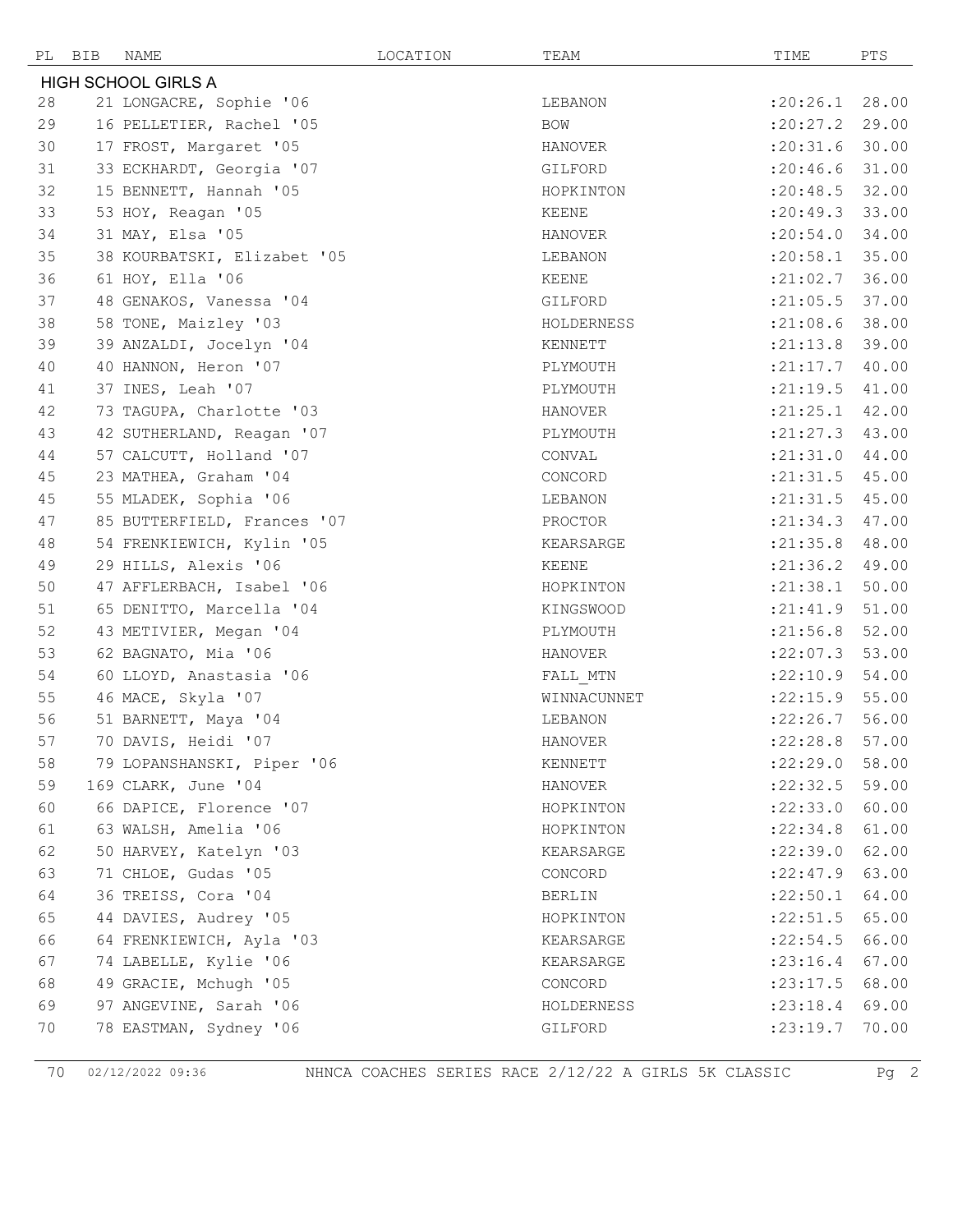| PL BIB | NAME                        | LOCATION | TEAM        | TIME             | PTS   |
|--------|-----------------------------|----------|-------------|------------------|-------|
|        | <b>HIGH SCHOOL GIRLS A</b>  |          |             |                  |       |
| 28     | 21 LONGACRE, Sophie '06     |          | LEBANON     | :20:26.1         | 28.00 |
| 29     | 16 PELLETIER, Rachel '05    |          | BOW         | :20:27.2         | 29.00 |
| 30     | 17 FROST, Margaret '05      |          | HANOVER     | : 20: 31.6       | 30.00 |
| 31     | 33 ECKHARDT, Georgia '07    |          | GILFORD     | : 20:46.6        | 31.00 |
| 32     | 15 BENNETT, Hannah '05      |          | HOPKINTON   | : 20: 48.5 32.00 |       |
| 33     | 53 HOY, Reagan '05          |          | KEENE       | : 20: 49.3       | 33.00 |
| 34     | 31 MAY, Elsa '05            |          | HANOVER     | :20:54.0         | 34.00 |
| 35     | 38 KOURBATSKI, Elizabet '05 |          | LEBANON     | :20:58.1         | 35.00 |
| 36     | 61 HOY, Ella '06            |          | KEENE       | : 21:02.7        | 36.00 |
| 37     | 48 GENAKOS, Vanessa '04     |          | GILFORD     | : 21:05.5        | 37.00 |
| 38     | 58 TONE, Maizley '03        |          | HOLDERNESS  | $:21:08.6$ 38.00 |       |
| 39     | 39 ANZALDI, Jocelyn '04     |          | KENNETT     | : 21: 13.8       | 39.00 |
| 40     | 40 HANNON, Heron '07        |          | PLYMOUTH    | : 21: 17.7       | 40.00 |
| 41     | 37 INES, Leah '07           |          | PLYMOUTH    | : 21: 19.5       | 41.00 |
| 42     | 73 TAGUPA, Charlotte '03    |          | HANOVER     | :21:25.1         | 42.00 |
| 43     | 42 SUTHERLAND, Reagan '07   |          | PLYMOUTH    | : 21: 27.3       | 43.00 |
| 44     | 57 CALCUTT, Holland '07     |          | CONVAL      | :21:31.0         | 44.00 |
| 45     | 23 MATHEA, Graham '04       |          | CONCORD     | : 21: 31.5       | 45.00 |
| 45     | 55 MLADEK, Sophia '06       |          | LEBANON     | : 21: 31.5       | 45.00 |
| 47     | 85 BUTTERFIELD, Frances '07 |          | PROCTOR     | : 21: 34.3       | 47.00 |
| 48     | 54 FRENKIEWICH, Kylin '05   |          | KEARSARGE   | : 21: 35.8       | 48.00 |
| 49     | 29 HILLS, Alexis '06        |          | KEENE       | : 21:36.2        | 49.00 |
| 50     | 47 AFFLERBACH, Isabel '06   |          | HOPKINTON   | : 21:38.1        | 50.00 |
| 51     | 65 DENITTO, Marcella '04    |          | KINGSWOOD   | : 21: 41.9       | 51.00 |
| 52     | 43 METIVIER, Megan '04      |          | PLYMOUTH    | : 21:56.8        | 52.00 |
| 53     | 62 BAGNATO, Mia '06         |          | HANOVER     | :22:07.3         | 53.00 |
| 54     | 60 LLOYD, Anastasia '06     |          | FALL MTN    | :22:10.9         | 54.00 |
| 55     | 46 MACE, Skyla '07          |          | WINNACUNNET | $:22:15.9$ 55.00 |       |
| 56     | 51 BARNETT, Maya '04        |          | LEBANON     | : 22:26.7        | 56.00 |
| 57     | 70 DAVIS, Heidi '07         |          | HANOVER     | $:22:28.8$ 57.00 |       |
| 58     | 79 LOPANSHANSKI, Piper '06  |          | KENNETT     | :22:29.0         | 58.00 |
| 59     | 169 CLARK, June '04         |          | HANOVER     | : 22: 32.5       | 59.00 |
| 60     | 66 DAPICE, Florence '07     |          | HOPKINTON   | :22:33.0         | 60.00 |
| 61     | 63 WALSH, Amelia '06        |          | HOPKINTON   | : 22:34.8        | 61.00 |
| 62     | 50 HARVEY, Katelyn '03      |          | KEARSARGE   | :22:39.0         | 62.00 |
| 63     | 71 CHLOE, Gudas '05         |          | CONCORD     | : 22: 47.9       | 63.00 |
| 64     | 36 TREISS, Cora '04         |          | BERLIN      | : 22:50.1        | 64.00 |
| 65     | 44 DAVIES, Audrey '05       |          | HOPKINTON   | : 22: 51.5       | 65.00 |
| 66     | 64 FRENKIEWICH, Ayla '03    |          | KEARSARGE   | : 22:54.5        | 66.00 |
| 67     | 74 LABELLE, Kylie '06       |          | KEARSARGE   | : 23:16.4        | 67.00 |
| 68     | 49 GRACIE, Mchugh '05       |          | CONCORD     | : 23: 17.5       | 68.00 |
| 69     | 97 ANGEVINE, Sarah '06      |          | HOLDERNESS  | : 23: 18.4       | 69.00 |
| 70     | 78 EASTMAN, Sydney '06      |          | GILFORD     | : 23: 19.7       | 70.00 |

02/12/2022 09:36 NHNCA COACHES SERIES RACE 2/12/22 A GIRLS 5K CLASSIC Pg 2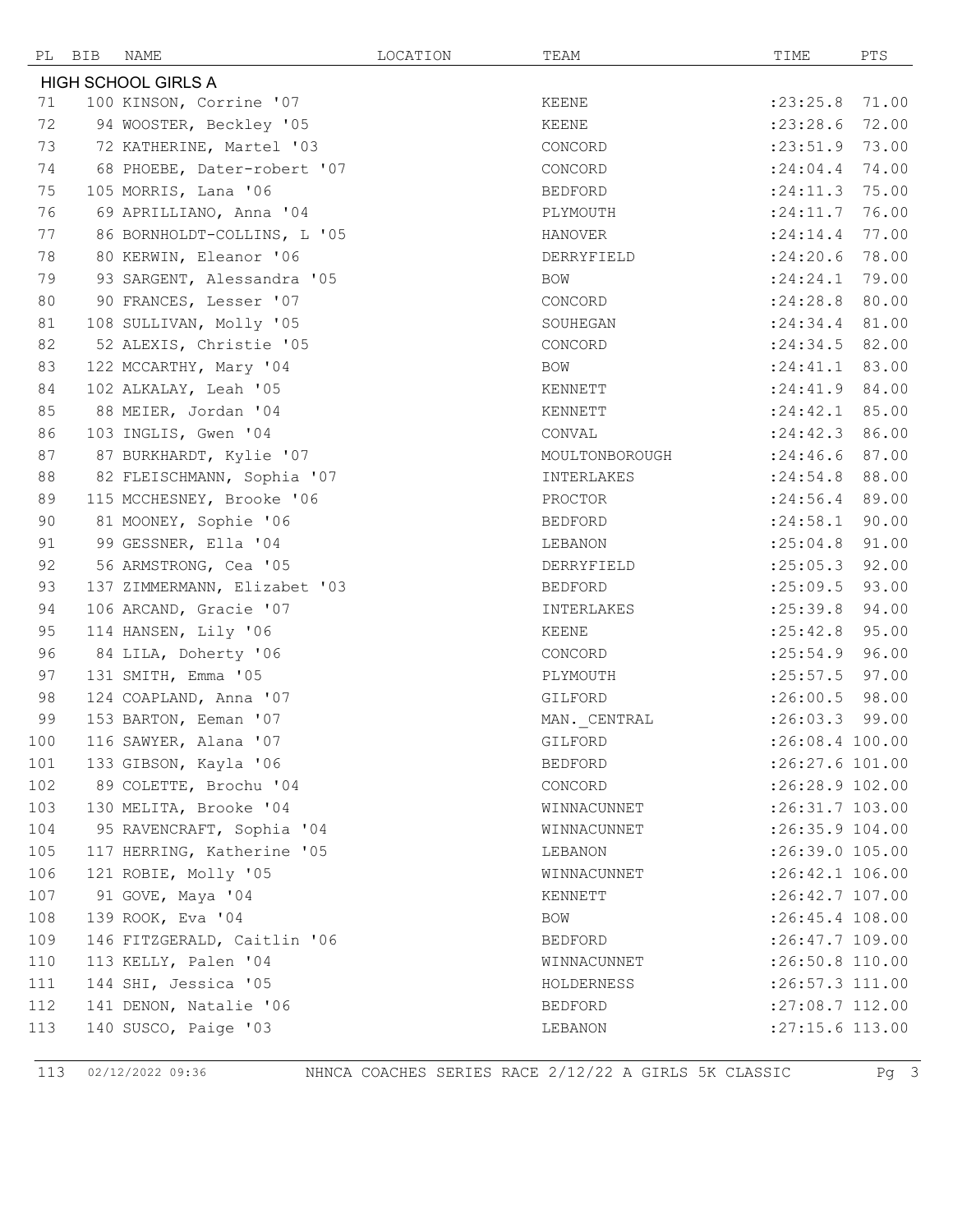| PL  | BIB | NAME                         | LOCATION | TEAM           | TIME              | PTS   |
|-----|-----|------------------------------|----------|----------------|-------------------|-------|
|     |     | <b>HIGH SCHOOL GIRLS A</b>   |          |                |                   |       |
| 71  |     | 100 KINSON, Corrine '07      |          | KEENE          | : 23: 25.8        | 71.00 |
| 72  |     | 94 WOOSTER, Beckley '05      |          | <b>KEENE</b>   | : 23: 28.6        | 72.00 |
| 73  |     | 72 KATHERINE, Martel '03     |          | CONCORD        | : 23:51.9         | 73.00 |
| 74  |     | 68 PHOEBE, Dater-robert '07  |          | CONCORD        | : 24:04.4         | 74.00 |
| 75  |     | 105 MORRIS, Lana '06         |          | <b>BEDFORD</b> | $: 24:11.3$ 75.00 |       |
| 76  |     | 69 APRILLIANO, Anna '04      |          | PLYMOUTH       | : 24:11.7         | 76.00 |
| 77  |     | 86 BORNHOLDT-COLLINS, L '05  |          | HANOVER        | : 24:14.4         | 77.00 |
| 78  |     | 80 KERWIN, Eleanor '06       |          | DERRYFIELD     | : 24:20.6         | 78.00 |
| 79  |     | 93 SARGENT, Alessandra '05   |          | <b>BOW</b>     | : 24:24.1         | 79.00 |
| 80  |     | 90 FRANCES, Lesser '07       |          | CONCORD        | $: 24:28.8$ 80.00 |       |
| 81  |     | 108 SULLIVAN, Molly '05      |          | SOUHEGAN       | :24:34.4 81.00    |       |
| 82  |     | 52 ALEXIS, Christie '05      |          | CONCORD        | : 24:34.5         | 82.00 |
| 83  |     | 122 MCCARTHY, Mary '04       |          | BOW            | : 24:41.1         | 83.00 |
| 84  |     | 102 ALKALAY, Leah '05        |          | KENNETT        | :24:41.9 84.00    |       |
| 85  |     | 88 MEIER, Jordan '04         |          | KENNETT        | $: 24:42.1$ 85.00 |       |
| 86  |     | 103 INGLIS, Gwen '04         |          | CONVAL         | $: 24:42.3$ 86.00 |       |
| 87  |     | 87 BURKHARDT, Kylie '07      |          | MOULTONBOROUGH | : 24:46.6         | 87.00 |
| 88  |     | 82 FLEISCHMANN, Sophia '07   |          | INTERLAKES     | : 24:54.8         | 88.00 |
| 89  |     | 115 MCCHESNEY, Brooke '06    |          | PROCTOR        | : 24:56.4         | 89.00 |
| 90  |     | 81 MOONEY, Sophie '06        |          | <b>BEDFORD</b> | : 24:58.1         | 90.00 |
| 91  |     | 99 GESSNER, Ella '04         |          | LEBANON        | :25:04.8          | 91.00 |
| 92  |     | 56 ARMSTRONG, Cea '05        |          | DERRYFIELD     | $: 25:05.3$ 92.00 |       |
| 93  |     | 137 ZIMMERMANN, Elizabet '03 |          | <b>BEDFORD</b> | :25:09.5          | 93.00 |
| 94  |     | 106 ARCAND, Gracie '07       |          | INTERLAKES     | : 25:39.8         | 94.00 |
| 95  |     | 114 HANSEN, Lily '06         |          | KEENE          | : 25: 42.8        | 95.00 |
| 96  |     | 84 LILA, Doherty '06         |          | CONCORD        | $: 25:54.9$ 96.00 |       |
| 97  |     | 131 SMITH, Emma '05          |          | PLYMOUTH       | $: 25:57.5$ 97.00 |       |
| 98  |     | 124 COAPLAND, Anna '07       |          | GILFORD        | $:26:00.5$ 98.00  |       |
| 99  |     | 153 BARTON, Eeman '07        |          | MAN. CENTRAL   | $: 26:03.3$ 99.00 |       |
| 100 |     | 116 SAWYER, Alana '07        |          | GILFORD        | $:26:08.4$ 100.00 |       |
| 101 |     | 133 GIBSON, Kayla '06        |          | BEDFORD        | :26:27.6 101.00   |       |
| 102 |     | 89 COLETTE, Brochu '04       |          | CONCORD        | :26:28.9 102.00   |       |
| 103 |     | 130 MELITA, Brooke '04       |          | WINNACUNNET    | :26:31.7 103.00   |       |
| 104 |     | 95 RAVENCRAFT, Sophia '04    |          | WINNACUNNET    | $:26:35.9$ 104.00 |       |
| 105 |     | 117 HERRING, Katherine '05   |          | LEBANON        | :26:39.0 105.00   |       |
| 106 |     | 121 ROBIE, Molly '05         |          | WINNACUNNET    | :26:42.1 106.00   |       |
| 107 |     | 91 GOVE, Maya '04            |          | KENNETT        | :26:42.7 107.00   |       |
| 108 |     | 139 ROOK, Eva '04            |          | BOW            | :26:45.4 108.00   |       |
| 109 |     | 146 FITZGERALD, Caitlin '06  |          | BEDFORD        | :26:47.7 109.00   |       |
| 110 |     | 113 KELLY, Palen '04         |          | WINNACUNNET    | :26:50.8 110.00   |       |
| 111 |     | 144 SHI, Jessica '05         |          | HOLDERNESS     | :26:57.3 111.00   |       |
| 112 |     | 141 DENON, Natalie '06       |          | BEDFORD        | :27:08.7 112.00   |       |
| 113 |     | 140 SUSCO, Paige '03         |          | LEBANON        | :27:15.6 113.00   |       |

02/12/2022 09:36 NHNCA COACHES SERIES RACE 2/12/22 A GIRLS 5K CLASSIC Pg 3